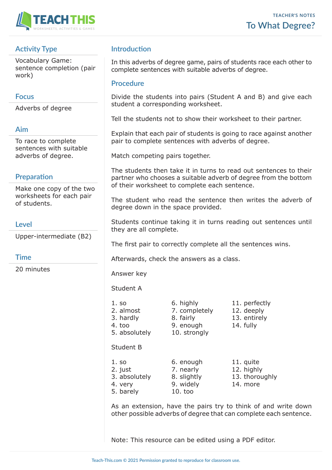

# **Activity Type**

Vocabulary Game: sentence completion (pair work)

## **Focus**

Adverbs of degree

### **Aim**

To race to complete sentences with suitable adverbs of degree.

# **Preparation**

Make one copy of the two worksheets for each pair of students.

## **Level**

Upper-intermediate (B2)

### **Time**

20 minutes

# **Introduction**

In this adverbs of degree game, pairs of students race each other to complete sentences with suitable adverbs of degree.

### **Procedure**

Divide the students into pairs (Student A and B) and give each student a corresponding worksheet.

Tell the students not to show their worksheet to their partner.

Explain that each pair of students is going to race against another pair to complete sentences with adverbs of degree.

Match competing pairs together.

The students then take it in turns to read out sentences to their partner who chooses a suitable adverb of degree from the bottom of their worksheet to complete each sentence.

The student who read the sentence then writes the adverb of degree down in the space provided.

Students continue taking it in turns reading out sentences until they are all complete.

The first pair to correctly complete all the sentences wins.

Afterwards, check the answers as a class.

Answer key

Student A

- 
- 5. absolutely 10. strongly

Student B

- 1. so 6. enough 11. quite 2. just 2. nearly 12. highly
- 4. very 9. widely 14. more
- 5. barely 10. too

2. almost 2. completely 12. deeply 3. hardly 8. fairly 13. entirely 4. too 9. enough 14. fully

1. so 6. highly 11. perfectly

3. absolutely 8. slightly 13. thoroughly

As an extension, have the pairs try to think of and write down other possible adverbs of degree that can complete each sentence.

Note: This resource can be edited using a PDF editor.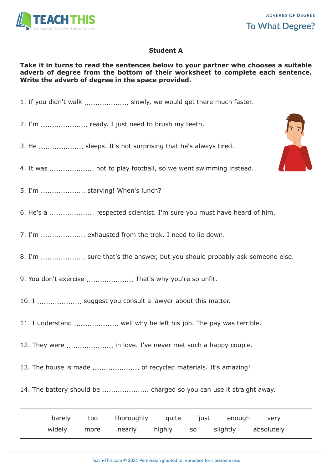

### **Student A**

### **Take it in turns to read the sentences below to your partner who chooses a suitable adverb of degree from the bottom of their worksheet to complete each sentence. Write the adverb of degree in the space provided.**

- 1. If you didn't walk .................... slowly, we would get there much faster.
- 2. I'm ..................... ready. I just need to brush my teeth.
- 3. He .................... sleeps. It's not surprising that he's always tired.
- 4. It was .................... hot to play football, so we went swimming instead.
- 5. I'm .................... starving! When's lunch?
- 6. He's a .................... respected scientist. I'm sure you must have heard of him.
- 7. I'm .................... exhausted from the trek. I need to lie down.
- 8. I'm .................... sure that's the answer, but you should probably ask someone else.
- 9. You don't exercise ........................ That's why you're so unfit.
- 10. I .................... suggest you consult a lawyer about this matter.
- 11. I understand .................... well why he left his job. The pay was terrible.
- 12. They were ..................... in love. I've never met such a happy couple.
- 13. The house is made ..................... of recycled materials. It's amazing!
- 14. The battery should be ..................... charged so you can use it straight away.

| barely | too  | thoroughly | quite  | just | enough   | very       |
|--------|------|------------|--------|------|----------|------------|
| widely | more | nearly     | highly | SO.  | slightly | absolutely |